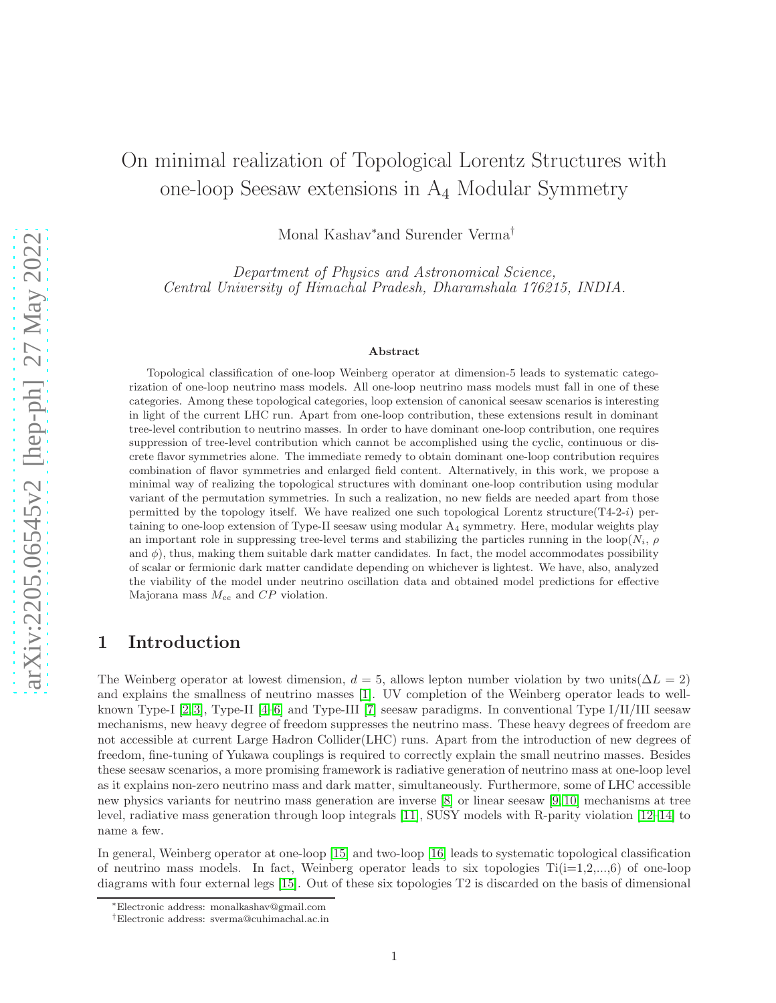# On minimal realization of Topological Lorentz Structures with one-loop Seesaw extensions in A<sup>4</sup> Modular Symmetry

Monal Kashav∗and Surender Verma†

Department of Physics and Astronomical Science, Central University of Himachal Pradesh, Dharamshala 176215, INDIA.

#### Abstract

Topological classification of one-loop Weinberg operator at dimension-5 leads to systematic categorization of one-loop neutrino mass models. All one-loop neutrino mass models must fall in one of these categories. Among these topological categories, loop extension of canonical seesaw scenarios is interesting in light of the current LHC run. Apart from one-loop contribution, these extensions result in dominant tree-level contribution to neutrino masses. In order to have dominant one-loop contribution, one requires suppression of tree-level contribution which cannot be accomplished using the cyclic, continuous or discrete flavor symmetries alone. The immediate remedy to obtain dominant one-loop contribution requires combination of flavor symmetries and enlarged field content. Alternatively, in this work, we propose a minimal way of realizing the topological structures with dominant one-loop contribution using modular variant of the permutation symmetries. In such a realization, no new fields are needed apart from those permitted by the topology itself. We have realized one such topological Lorentz structure( $T_{4-2-i}$ ) pertaining to one-loop extension of Type-II seesaw using modular A<sup>4</sup> symmetry. Here, modular weights play an important role in suppressing tree-level terms and stabilizing the particles running in the loop( $N_i$ ,  $\rho$ and  $\phi$ ), thus, making them suitable dark matter candidates. In fact, the model accommodates possibility of scalar or fermionic dark matter candidate depending on whichever is lightest. We have, also, analyzed the viability of the model under neutrino oscillation data and obtained model predictions for effective Majorana mass  $M_{ee}$  and  $CP$  violation.

### 1 Introduction

The Weinberg operator at lowest dimension,  $d = 5$ , allows lepton number violation by two units( $\Delta L = 2$ ) and explains the smallness of neutrino masses [\[1\]](#page-10-0). UV completion of the Weinberg operator leads to wellknown Type-I [\[2,](#page-10-1) [3\]](#page-10-2), Type-II [\[4](#page-10-3)[–6\]](#page-10-4) and Type-III [\[7\]](#page-10-5) seesaw paradigms. In conventional Type I/II/III seesaw mechanisms, new heavy degree of freedom suppresses the neutrino mass. These heavy degrees of freedom are not accessible at current Large Hadron Collider(LHC) runs. Apart from the introduction of new degrees of freedom, fine-tuning of Yukawa couplings is required to correctly explain the small neutrino masses. Besides these seesaw scenarios, a more promising framework is radiative generation of neutrino mass at one-loop level as it explains non-zero neutrino mass and dark matter, simultaneously. Furthermore, some of LHC accessible new physics variants for neutrino mass generation are inverse [\[8\]](#page-11-0) or linear seesaw [\[9,](#page-11-1) [10\]](#page-11-2) mechanisms at tree level, radiative mass generation through loop integrals [\[11\]](#page-11-3), SUSY models with R-parity violation [\[12](#page-11-4)[–14\]](#page-11-5) to name a few.

In general, Weinberg operator at one-loop [\[15\]](#page-11-6) and two-loop [\[16\]](#page-12-0) leads to systematic topological classification of neutrino mass models. In fact, Weinberg operator leads to six topologies  $Ti(i=1,2,...,6)$  of one-loop diagrams with four external legs [\[15\]](#page-11-6). Out of these six topologies T2 is discarded on the basis of dimensional

<sup>∗</sup>Electronic address: monalkashav@gmail.com

<sup>†</sup>Electronic address: sverma@cuhimachal.ac.in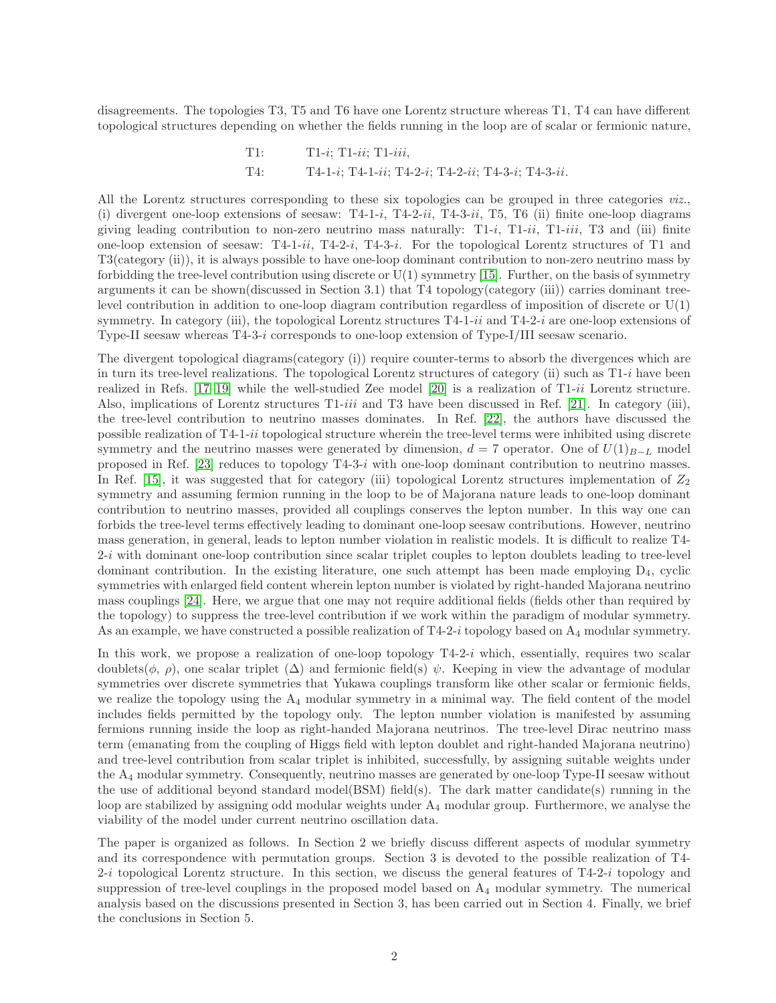disagreements. The topologies T3, T5 and T6 have one Lorentz structure whereas T1, T4 can have different topological structures depending on whether the fields running in the loop are of scalar or fermionic nature,

T1: T1-i; T1-ii; T1-iii, T4: T4-1-i; T4-1-ii; T4-2-i; T4-2-ii; T4-3-i; T4-3-ii.

All the Lorentz structures corresponding to these six topologies can be grouped in three categories *viz.*, (i) divergent one-loop extensions of seesaw:  $T_{4-1-i}$ ,  $T_{4-2-i}$ ,  $T_{4-3-i}$ ,  $T_{5}$ ,  $T_{6}$  (ii) finite one-loop diagrams giving leading contribution to non-zero neutrino mass naturally:  $T1-i$ ,  $T1-i$ ,  $T1-iii$ ,  $T3$  and (iii) finite one-loop extension of seesaw: T4-1-ii, T4-2-i, T4-3-i. For the topological Lorentz structures of T1 and T3(category (ii)), it is always possible to have one-loop dominant contribution to non-zero neutrino mass by forbidding the tree-level contribution using discrete or  $U(1)$  symmetry [\[15\]](#page-11-6). Further, on the basis of symmetry arguments it can be shown(discussed in Section 3.1) that T4 topology(category (iii)) carries dominant treelevel contribution in addition to one-loop diagram contribution regardless of imposition of discrete or U(1) symmetry. In category (iii), the topological Lorentz structures T4-1-ii and T4-2-i are one-loop extensions of Type-II seesaw whereas T4-3-i corresponds to one-loop extension of Type-I/III seesaw scenario.

The divergent topological diagrams(category (i)) require counter-terms to absorb the divergences which are in turn its tree-level realizations. The topological Lorentz structures of category (ii) such as T1-i have been realized in Refs.  $[17-19]$  while the well-studied Zee model  $[20]$  is a realization of T1-ii Lorentz structure. Also, implications of Lorentz structures T1-iii and T3 have been discussed in Ref. [\[21\]](#page-12-4). In category (iii), the tree-level contribution to neutrino masses dominates. In Ref. [\[22\]](#page-12-5), the authors have discussed the possible realization of T4-1-ii topological structure wherein the tree-level terms were inhibited using discrete symmetry and the neutrino masses were generated by dimension,  $d = 7$  operator. One of  $U(1)_{B-L}$  model proposed in Ref. [\[23\]](#page-12-6) reduces to topology T4-3-i with one-loop dominant contribution to neutrino masses. In Ref. [\[15\]](#page-11-6), it was suggested that for category (iii) topological Lorentz structures implementation of  $Z_2$ symmetry and assuming fermion running in the loop to be of Majorana nature leads to one-loop dominant contribution to neutrino masses, provided all couplings conserves the lepton number. In this way one can forbids the tree-level terms effectively leading to dominant one-loop seesaw contributions. However, neutrino mass generation, in general, leads to lepton number violation in realistic models. It is difficult to realize T4- 2-i with dominant one-loop contribution since scalar triplet couples to lepton doublets leading to tree-level dominant contribution. In the existing literature, one such attempt has been made employing  $D_4$ , cyclic symmetries with enlarged field content wherein lepton number is violated by right-handed Majorana neutrino mass couplings [\[24\]](#page-12-7). Here, we argue that one may not require additional fields (fields other than required by the topology) to suppress the tree-level contribution if we work within the paradigm of modular symmetry. As an example, we have constructed a possible realization of  $T_4-2-i$  topology based on  $A_4$  modular symmetry.

In this work, we propose a realization of one-loop topology T4-2-i which, essentially, requires two scalar doublets( $\phi$ ,  $\rho$ ), one scalar triplet  $(\Delta)$  and fermionic field(s)  $\psi$ . Keeping in view the advantage of modular symmetries over discrete symmetries that Yukawa couplings transform like other scalar or fermionic fields, we realize the topology using the  $A_4$  modular symmetry in a minimal way. The field content of the model includes fields permitted by the topology only. The lepton number violation is manifested by assuming fermions running inside the loop as right-handed Majorana neutrinos. The tree-level Dirac neutrino mass term (emanating from the coupling of Higgs field with lepton doublet and right-handed Majorana neutrino) and tree-level contribution from scalar triplet is inhibited, successfully, by assigning suitable weights under the  $A_4$  modular symmetry. Consequently, neutrino masses are generated by one-loop Type-II seesaw without the use of additional beyond standard model(BSM) field(s). The dark matter candidate(s) running in the loop are stabilized by assigning odd modular weights under  $A_4$  modular group. Furthermore, we analyse the viability of the model under current neutrino oscillation data.

The paper is organized as follows. In Section 2 we briefly discuss different aspects of modular symmetry and its correspondence with permutation groups. Section 3 is devoted to the possible realization of T4- 2-i topological Lorentz structure. In this section, we discuss the general features of T4-2-i topology and suppression of tree-level couplings in the proposed model based on A4 modular symmetry. The numerical analysis based on the discussions presented in Section 3, has been carried out in Section 4. Finally, we brief the conclusions in Section 5.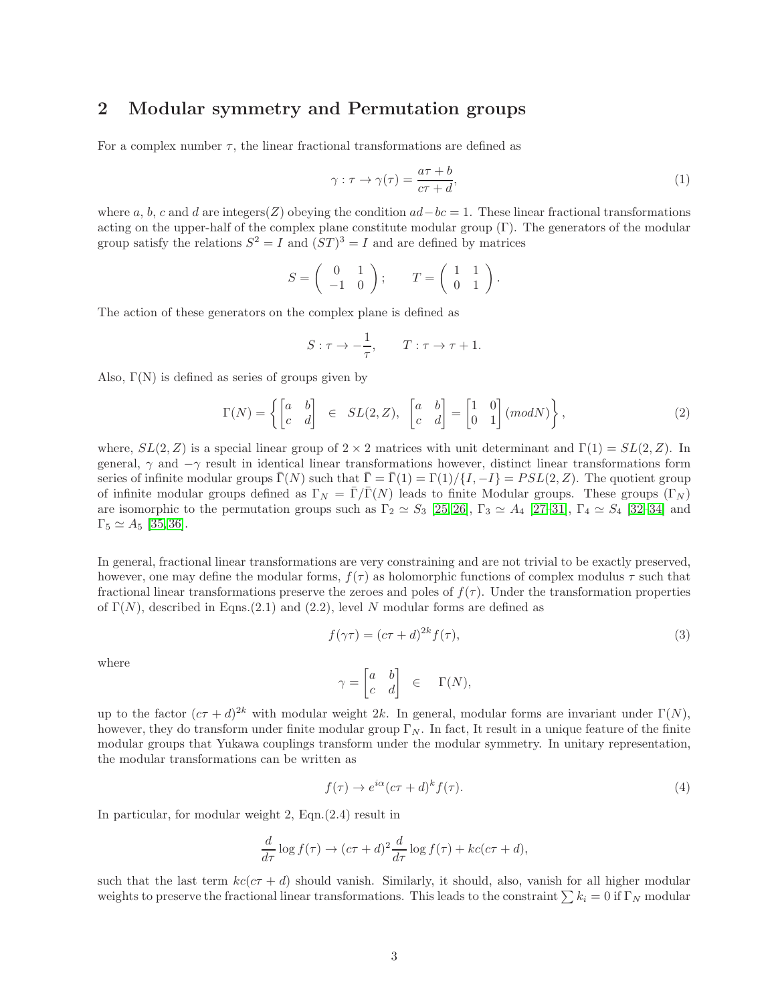## 2 Modular symmetry and Permutation groups

For a complex number  $\tau$ , the linear fractional transformations are defined as

$$
\gamma : \tau \to \gamma(\tau) = \frac{a\tau + b}{c\tau + d},\tag{1}
$$

where a, b, c and d are integers(Z) obeying the condition  $ad-bc = 1$ . These linear fractional transformations acting on the upper-half of the complex plane constitute modular group (Γ). The generators of the modular group satisfy the relations  $S^2 = I$  and  $(ST)^3 = I$  and are defined by matrices

$$
S = \left( \begin{array}{cc} 0 & 1 \\ -1 & 0 \end{array} \right); \qquad T = \left( \begin{array}{cc} 1 & 1 \\ 0 & 1 \end{array} \right).
$$

The action of these generators on the complex plane is defined as

$$
S: \tau \to -\frac{1}{\tau}, \qquad T: \tau \to \tau + 1.
$$

Also,  $\Gamma(N)$  is defined as series of groups given by

$$
\Gamma(N) = \left\{ \begin{bmatrix} a & b \\ c & d \end{bmatrix} \in SL(2, Z), \begin{bmatrix} a & b \\ c & d \end{bmatrix} = \begin{bmatrix} 1 & 0 \\ 0 & 1 \end{bmatrix} (mod N) \right\},\tag{2}
$$

where,  $SL(2, Z)$  is a special linear group of  $2 \times 2$  matrices with unit determinant and  $\Gamma(1) = SL(2, Z)$ . In general,  $\gamma$  and  $-\gamma$  result in identical linear transformations however, distinct linear transformations form series of infinite modular groups  $\overline{\Gamma}(N)$  such that  $\overline{\Gamma} = \overline{\Gamma}(1) = \Gamma(1)/\{I, -I\} = PSL(2, Z)$ . The quotient group of infinite modular groups defined as  $\Gamma_N = \bar{\Gamma}/\bar{\Gamma}(N)$  leads to finite Modular groups. These groups  $(\Gamma_N)$ are isomorphic to the permutation groups such as  $\Gamma_2 \simeq S_3$  [\[25,](#page-12-8) [26\]](#page-12-9),  $\Gamma_3 \simeq A_4$  [\[27–](#page-12-10)[31\]](#page-12-11),  $\Gamma_4 \simeq S_4$  [\[32–](#page-12-12)[34\]](#page-12-13) and  $\Gamma_5 \simeq A_5$  [\[35,](#page-12-14)36].

In general, fractional linear transformations are very constraining and are not trivial to be exactly preserved, however, one may define the modular forms,  $f(\tau)$  as holomorphic functions of complex modulus  $\tau$  such that fractional linear transformations preserve the zeroes and poles of  $f(\tau)$ . Under the transformation properties of  $\Gamma(N)$ , described in Eqns.(2.1) and (2.2), level N modular forms are defined as

$$
f(\gamma \tau) = (c\tau + d)^{2k} f(\tau),\tag{3}
$$

where

$$
\gamma = \begin{bmatrix} a & b \\ c & d \end{bmatrix} \in \Gamma(N),
$$

up to the factor  $(c\tau + d)^{2k}$  with modular weight 2k. In general, modular forms are invariant under  $\Gamma(N)$ , however, they do transform under finite modular group  $\Gamma_N$ . In fact, It result in a unique feature of the finite modular groups that Yukawa couplings transform under the modular symmetry. In unitary representation, the modular transformations can be written as

$$
f(\tau) \to e^{i\alpha} (c\tau + d)^k f(\tau). \tag{4}
$$

In particular, for modular weight 2, Eqn.(2.4) result in

$$
\frac{d}{d\tau}\log f(\tau) \to (c\tau+d)^2\frac{d}{d\tau}\log f(\tau) + kc(c\tau+d),
$$

such that the last term  $kc(c\tau + d)$  should vanish. Similarly, it should, also, vanish for all higher modular weights to preserve the fractional linear transformations. This leads to the constraint  $\sum k_i = 0$  if  $\Gamma_N$  modular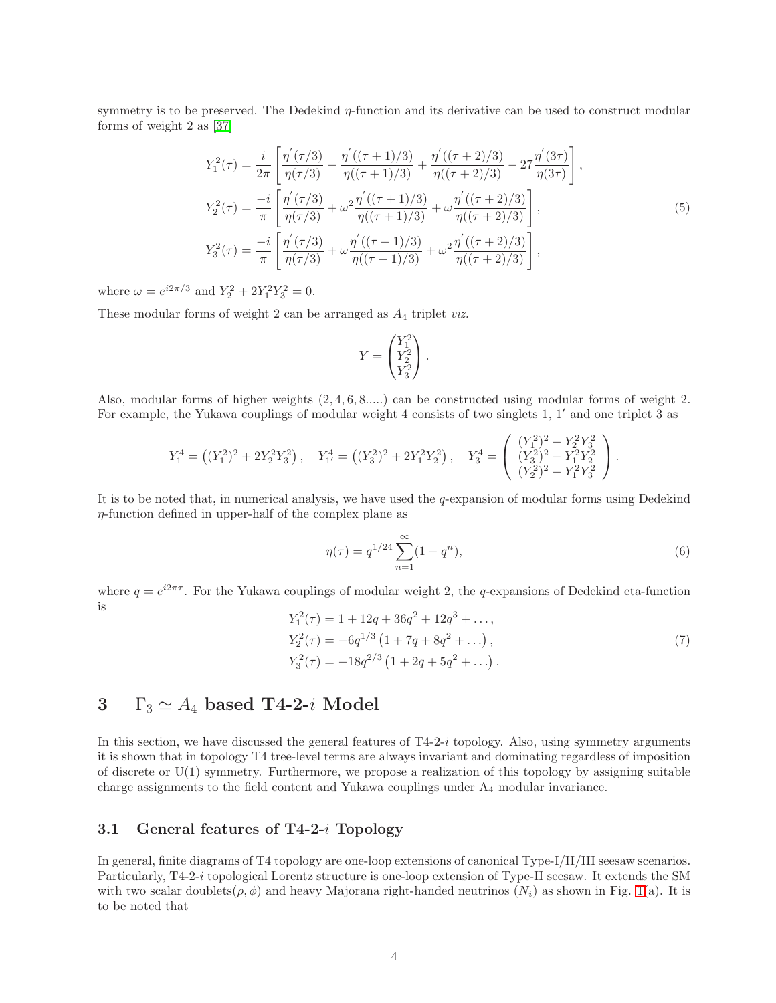symmetry is to be preserved. The Dedekind  $\eta$ -function and its derivative can be used to construct modular forms of weight 2 as [\[37\]](#page-13-0)

$$
Y_1^2(\tau) = \frac{i}{2\pi} \left[ \frac{\eta'(\tau/3)}{\eta(\tau/3)} + \frac{\eta'((\tau+1)/3)}{\eta((\tau+1)/3)} + \frac{\eta'((\tau+2)/3)}{\eta((\tau+2)/3)} - 27 \frac{\eta'(3\tau)}{\eta(3\tau)} \right],
$$
  
\n
$$
Y_2^2(\tau) = \frac{-i}{\pi} \left[ \frac{\eta'(\tau/3)}{\eta(\tau/3)} + \omega^2 \frac{\eta'((\tau+1)/3)}{\eta((\tau+1)/3)} + \omega \frac{\eta'((\tau+2)/3)}{\eta((\tau+2)/3)} \right],
$$
  
\n
$$
Y_3^2(\tau) = \frac{-i}{\pi} \left[ \frac{\eta'(\tau/3)}{\eta(\tau/3)} + \omega \frac{\eta'((\tau+1)/3)}{\eta((\tau+1)/3)} + \omega^2 \frac{\eta'((\tau+2)/3)}{\eta((\tau+2)/3)} \right],
$$
  
\n(5)

where  $\omega = e^{i2\pi/3}$  and  $Y_2^2 + 2Y_1^2Y_3^2 = 0$ .

These modular forms of weight 2 can be arranged as  $A_4$  triplet *viz.* 

$$
Y = \begin{pmatrix} Y_1^2 \\ Y_2^2 \\ Y_3^2 \end{pmatrix}.
$$

Also, modular forms of higher weights (2, 4, 6, 8.....) can be constructed using modular forms of weight 2. For example, the Yukawa couplings of modular weight 4 consists of two singlets 1, 1′ and one triplet 3 as

$$
Y_1^4 = ((Y_1^2)^2 + 2Y_2^2 Y_3^2), \quad Y_1^4 = ((Y_3^2)^2 + 2Y_1^2 Y_2^2), \quad Y_3^4 = \begin{pmatrix} (Y_1^2)^2 - Y_2^2 Y_3^2 \\ (Y_3^2)^2 - Y_1^2 Y_2^2 \\ (Y_2^2)^2 - Y_1^2 Y_3^2 \end{pmatrix}.
$$

It is to be noted that, in numerical analysis, we have used the  $q$ -expansion of modular forms using Dedekind η-function defined in upper-half of the complex plane as

$$
\eta(\tau) = q^{1/24} \sum_{n=1}^{\infty} (1 - q^n),\tag{6}
$$

where  $q = e^{i2\pi\tau}$ . For the Yukawa couplings of modular weight 2, the q-expansions of Dedekind eta-function is

$$
Y_1^2(\tau) = 1 + 12q + 36q^2 + 12q^3 + \dots,
$$
  
\n
$$
Y_2^2(\tau) = -6q^{1/3} (1 + 7q + 8q^2 + \dots),
$$
  
\n
$$
Y_3^2(\tau) = -18q^{2/3} (1 + 2q + 5q^2 + \dots).
$$
\n(7)

# 3  $\Gamma_3 \simeq A_4$  based T4-2-i Model

In this section, we have discussed the general features of  $T_4-2-i$  topology. Also, using symmetry arguments it is shown that in topology T4 tree-level terms are always invariant and dominating regardless of imposition of discrete or U(1) symmetry. Furthermore, we propose a realization of this topology by assigning suitable charge assignments to the field content and Yukawa couplings under A<sup>4</sup> modular invariance.

### 3.1 General features of T4-2-i Topology

In general, finite diagrams of T4 topology are one-loop extensions of canonical Type-I/II/III seesaw scenarios. Particularly, T4-2-i topological Lorentz structure is one-loop extension of Type-II seesaw. It extends the SM with two scalar doublets( $\rho$ ,  $\phi$ ) and heavy Majorana right-handed neutrinos ( $N_i$ ) as shown in Fig. [1\(](#page-4-0)a). It is to be noted that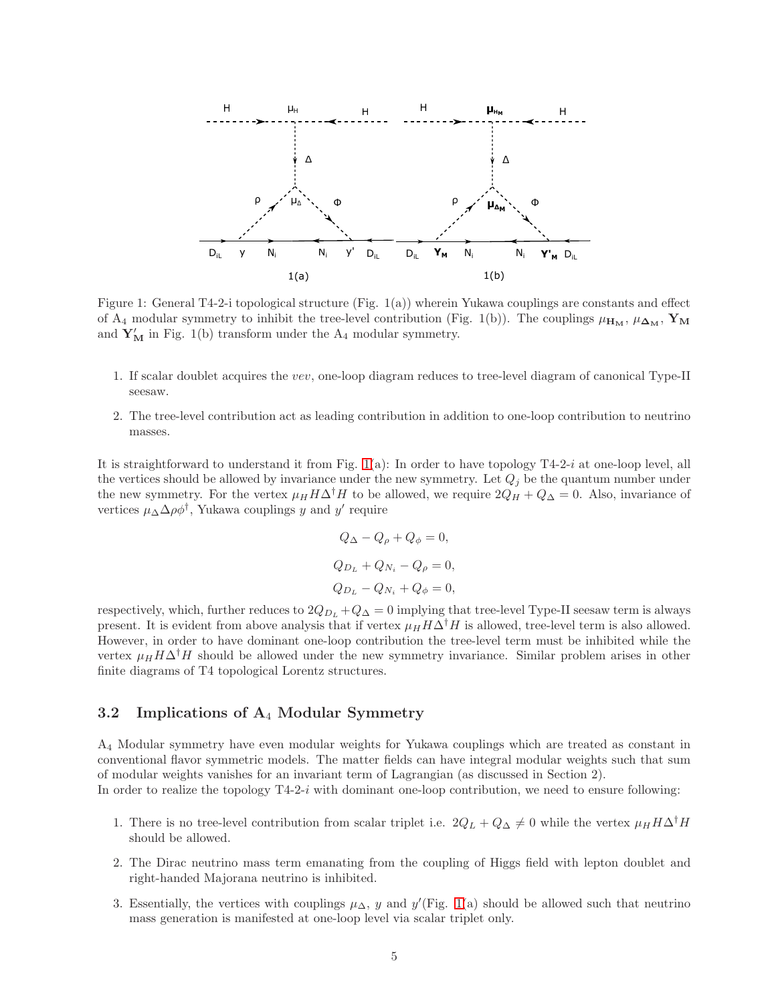<span id="page-4-0"></span>

Figure 1: General T4-2-i topological structure (Fig. 1(a)) wherein Yukawa couplings are constants and effect of A<sub>4</sub> modular symmetry to inhibit the tree-level contribution (Fig. 1(b)). The couplings  $\mu_{\mathbf{H}_{\mathbf{M}}}, \mu_{\mathbf{\Delta}_{\mathbf{M}}}, \mathbf{Y}_{\mathbf{M}}$ and  $Y'_{M}$  in Fig. 1(b) transform under the  $A_4$  modular symmetry.

- 1. If scalar doublet acquires the vev, one-loop diagram reduces to tree-level diagram of canonical Type-II seesaw.
- 2. The tree-level contribution act as leading contribution in addition to one-loop contribution to neutrino masses.

It is straightforward to understand it from Fig. [1\(](#page-4-0)a): In order to have topology T4-2-i at one-loop level, all the vertices should be allowed by invariance under the new symmetry. Let  $Q_i$  be the quantum number under the new symmetry. For the vertex  $\mu_H H \Delta^{\dagger} H$  to be allowed, we require  $2Q_H + Q_{\Delta} = 0$ . Also, invariance of vertices  $\mu_{\Delta} \Delta \rho \phi^{\dagger}$ , Yukawa couplings y and y' require

$$
Q_{\Delta} - Q_{\rho} + Q_{\phi} = 0,
$$
  
\n
$$
Q_{D_L} + Q_{N_i} - Q_{\rho} = 0,
$$
  
\n
$$
Q_{D_L} - Q_{N_i} + Q_{\phi} = 0,
$$

respectively, which, further reduces to  $2Q_{D_L} + Q_{\Delta} = 0$  implying that tree-level Type-II seesaw term is always present. It is evident from above analysis that if vertex  $\mu_H H \Delta^{\dagger} H$  is allowed, tree-level term is also allowed. However, in order to have dominant one-loop contribution the tree-level term must be inhibited while the vertex  $\mu_H H \Delta^{\dagger} H$  should be allowed under the new symmetry invariance. Similar problem arises in other finite diagrams of T4 topological Lorentz structures.

#### 3.2 Implications of  $A_4$  Modular Symmetry

A<sup>4</sup> Modular symmetry have even modular weights for Yukawa couplings which are treated as constant in conventional flavor symmetric models. The matter fields can have integral modular weights such that sum of modular weights vanishes for an invariant term of Lagrangian (as discussed in Section 2). In order to realize the topology T4-2-i with dominant one-loop contribution, we need to ensure following:

- 1. There is no tree-level contribution from scalar triplet i.e.  $2Q_L + Q_\Delta \neq 0$  while the vertex  $\mu_H H \Delta^{\dagger} H$ should be allowed.
- 2. The Dirac neutrino mass term emanating from the coupling of Higgs field with lepton doublet and right-handed Majorana neutrino is inhibited.
- 3. Essentially, the vertices with couplings  $\mu_{\Delta}$ , y and y'(Fig. [1\(](#page-4-0)a) should be allowed such that neutrino mass generation is manifested at one-loop level via scalar triplet only.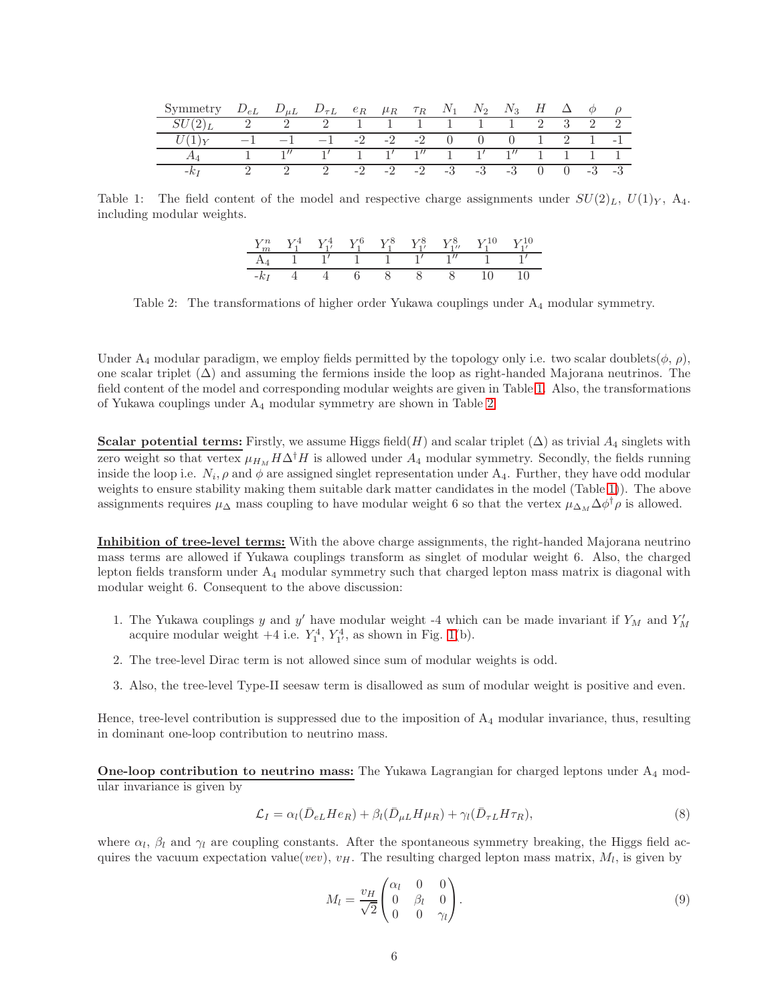<span id="page-5-0"></span>

| Symmetry | $D_{eL}$ $D_{\mu L}$ $D_{\tau L}$ $e_R$ $\mu_R$ $\tau_R$ $N_1$ $N_2$ $N_3$ |  |  |                                             |  |  | $H \Delta \phi \rho$        |  |
|----------|----------------------------------------------------------------------------|--|--|---------------------------------------------|--|--|-----------------------------|--|
|          | 2 2 2 1 1 1 1 1 1 2 3 2 2                                                  |  |  |                                             |  |  |                             |  |
|          |                                                                            |  |  | $-1$ $-2$ $-2$ $-2$ 0 0 1 2 1 -1            |  |  |                             |  |
|          |                                                                            |  |  | $1'$ 1 $1'$ $1''$ 1 $1'$ $1''$              |  |  | $1 \quad 1 \quad 1 \quad 1$ |  |
|          |                                                                            |  |  | $-2$ $-2$ $-2$ $-3$ $-3$ $-3$ 0 0 $-3$ $-3$ |  |  |                             |  |

<span id="page-5-1"></span>Table 1: The field content of the model and respective charge assignments under  $SU(2)_L$ ,  $U(1)_Y$ ,  $A_4$ . including modular weights.

|        |       |  |  | $Y_m^n$ $Y_1^4$ $Y_{1'}^4$ $Y_1^6$ $Y_1^8$ $Y_{1'}^8$ $Y_{1''}^8$ $Y_{1''}^{10}$ $Y_{1'}^{10}$ |  |
|--------|-------|--|--|------------------------------------------------------------------------------------------------|--|
|        |       |  |  | $A_4$ 1 1' 1 1 1' 1' 1' 1                                                                      |  |
| $-k_I$ | 4 4 6 |  |  | 8 8 8 10 10                                                                                    |  |

Table 2: The transformations of higher order Yukawa couplings under A4 modular symmetry.

Under  $A_4$  modular paradigm, we employ fields permitted by the topology only i.e. two scalar doublets( $\phi$ ,  $\rho$ ), one scalar triplet  $(\Delta)$  and assuming the fermions inside the loop as right-handed Majorana neutrinos. The field content of the model and corresponding modular weights are given in Table [1.](#page-5-0) Also, the transformations of Yukawa couplings under A<sup>4</sup> modular symmetry are shown in Table [2.](#page-5-1)

Scalar potential terms: Firstly, we assume Higgs field(H) and scalar triplet  $(\Delta)$  as trivial  $A_4$  singlets with zero weight so that vertex  $\mu_{H_M} H \Delta^{\dagger} H$  is allowed under  $A_4$  modular symmetry. Secondly, the fields running inside the loop i.e.  $N_i$ ,  $\rho$  and  $\phi$  are assigned singlet representation under  $A_4$ . Further, they have odd modular weights to ensure stability making them suitable dark matter candidates in the model (Table [1\)](#page-5-0)). The above assignments requires  $\mu_{\Delta}$  mass coupling to have modular weight 6 so that the vertex  $\mu_{\Delta_M} \Delta \phi^{\dagger} \rho$  is allowed.

Inhibition of tree-level terms: With the above charge assignments, the right-handed Majorana neutrino mass terms are allowed if Yukawa couplings transform as singlet of modular weight 6. Also, the charged lepton fields transform under A<sup>4</sup> modular symmetry such that charged lepton mass matrix is diagonal with modular weight 6. Consequent to the above discussion:

- 1. The Yukawa couplings y and y' have modular weight -4 which can be made invariant if  $Y_M$  and  $Y'_M$  acquire modular weight +4 i.e.  $Y_1^4$ ,  $Y_1^4$ , as shown in Fig. [1\(](#page-4-0)b).
- 2. The tree-level Dirac term is not allowed since sum of modular weights is odd.
- 3. Also, the tree-level Type-II seesaw term is disallowed as sum of modular weight is positive and even.

Hence, tree-level contribution is suppressed due to the imposition of  $A_4$  modular invariance, thus, resulting in dominant one-loop contribution to neutrino mass.

One-loop contribution to neutrino mass: The Yukawa Lagrangian for charged leptons under A<sub>4</sub> modular invariance is given by

$$
\mathcal{L}_I = \alpha_l (\bar{D}_{eL} H e_R) + \beta_l (\bar{D}_{\mu L} H \mu_R) + \gamma_l (\bar{D}_{\tau L} H \tau_R), \tag{8}
$$

where  $\alpha_l$ ,  $\beta_l$  and  $\gamma_l$  are coupling constants. After the spontaneous symmetry breaking, the Higgs field acquires the vacuum expectation value(vev),  $v_H$ . The resulting charged lepton mass matrix,  $M_l$ , is given by

<span id="page-5-2"></span>
$$
M_l = \frac{v_H}{\sqrt{2}} \begin{pmatrix} \alpha_l & 0 & 0 \\ 0 & \beta_l & 0 \\ 0 & 0 & \gamma_l \end{pmatrix} . \tag{9}
$$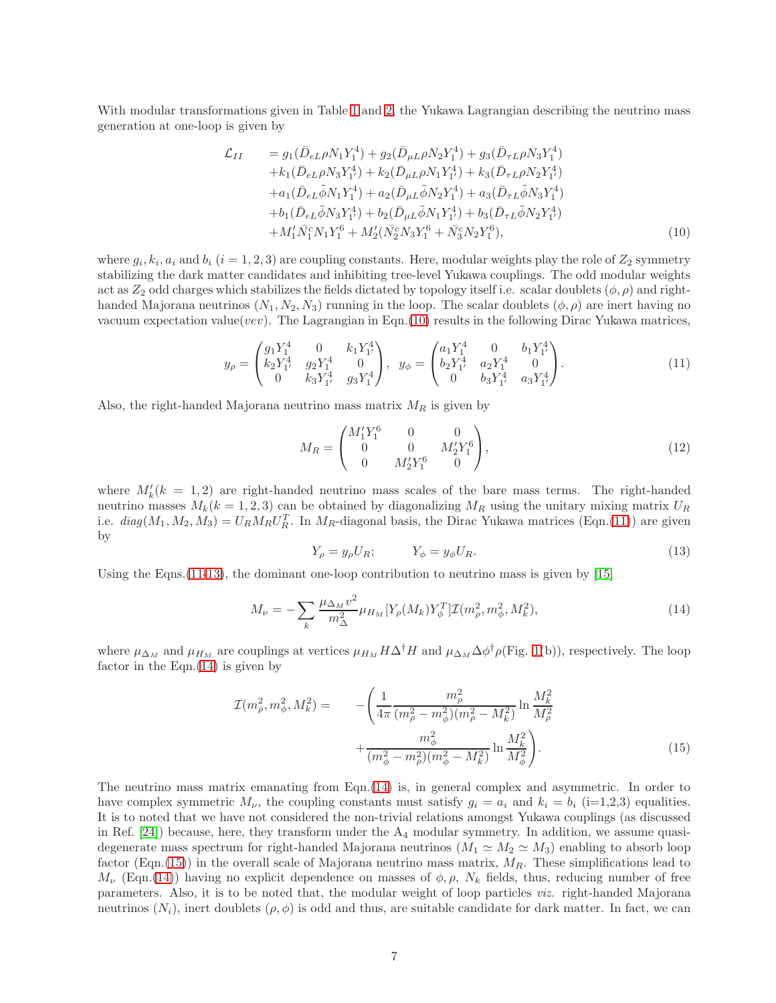With modular transformations given in Table [1](#page-5-0) and [2,](#page-5-1) the Yukawa Lagrangian describing the neutrino mass generation at one-loop is given by

<span id="page-6-0"></span>
$$
\mathcal{L}_{II} = g_1(\bar{D}_{eL}\rho N_1 Y_1^4) + g_2(\bar{D}_{\mu L}\rho N_2 Y_1^4) + g_3(\bar{D}_{\tau L}\rho N_3 Y_1^4) \n+ k_1(\bar{D}_{eL}\rho N_3 Y_1^4) + k_2(\bar{D}_{\mu L}\rho N_1 Y_1^4) + k_3(\bar{D}_{\tau L}\rho N_2 Y_1^4) \n+ a_1(\bar{D}_{eL}\tilde{\phi} N_1 Y_1^4) + a_2(\bar{D}_{\mu L}\tilde{\phi} N_2 Y_1^4) + a_3(\bar{D}_{\tau L}\tilde{\phi} N_3 Y_1^4) \n+ b_1(\bar{D}_{eL}\tilde{\phi} N_3 Y_1^4) + b_2(\bar{D}_{\mu L}\tilde{\phi} N_1 Y_1^4) + b_3(\bar{D}_{\tau L}\tilde{\phi} N_2 Y_1^4) \n+ M_1'\bar{N}_1^c N_1 Y_1^6 + M_2'(\bar{N}_2^c N_3 Y_1^6 + \bar{N}_3^c N_2 Y_1^6),
$$
\n(10)

where  $g_i, k_i, a_i$  and  $b_i$   $(i = 1, 2, 3)$  are coupling constants. Here, modular weights play the role of  $Z_2$  symmetry stabilizing the dark matter candidates and inhibiting tree-level Yukawa couplings. The odd modular weights act as  $Z_2$  odd charges which stabilizes the fields dictated by topology itself i.e. scalar doublets  $(\phi, \rho)$  and righthanded Majorana neutrinos  $(N_1, N_2, N_3)$  running in the loop. The scalar doublets  $(\phi, \rho)$  are inert having no vacuum expectation value(vev). The Lagrangian in Eqn.[\(10\)](#page-6-0) results in the following Dirac Yukawa matrices,

<span id="page-6-1"></span>
$$
y_{\rho} = \begin{pmatrix} g_1 Y_1^4 & 0 & k_1 Y_1^4 \\ k_2 Y_1^4 & g_2 Y_1^4 & 0 \\ 0 & k_3 Y_1^4 & g_3 Y_1^4 \end{pmatrix}, \ y_{\phi} = \begin{pmatrix} a_1 Y_1^4 & 0 & b_1 Y_1^4 \\ b_2 Y_1^4 & a_2 Y_1^4 & 0 \\ 0 & b_3 Y_1^4 & a_3 Y_1^4 \end{pmatrix}.
$$
 (11)

Also, the right-handed Majorana neutrino mass matrix  $M_R$  is given by

$$
M_R = \begin{pmatrix} M_1' Y_1^6 & 0 & 0 \\ 0 & 0 & M_2' Y_1^6 \\ 0 & M_2' Y_1^6 & 0 \end{pmatrix},
$$
 (12)

where  $M'_k(k = 1, 2)$  are right-handed neutrino mass scales of the bare mass terms. The right-handed neutrino masses  $M_k(k = 1, 2, 3)$  can be obtained by diagonalizing  $M_R$  using the unitary mixing matrix  $U_R$ i.e.  $diag(M_1, M_2, M_3) = U_R M_R U_R^T$ . In  $M_R$ -diagonal basis, the Dirac Yukawa matrices (Eqn.[\(11\)](#page-6-1)) are given by

<span id="page-6-2"></span>
$$
Y_{\rho} = y_{\rho} U_R; \qquad Y_{\phi} = y_{\phi} U_R. \tag{13}
$$

Using the Eqns.  $(11-13)$  $(11-13)$ , the dominant one-loop contribution to neutrino mass is given by [\[15\]](#page-11-6)

<span id="page-6-3"></span>
$$
M_{\nu} = -\sum_{k} \frac{\mu_{\Delta_M} v^2}{m_{\Delta}^2} \mu_{H_M} [Y_{\rho}(M_k) Y_{\phi}^T] \mathcal{I}(m_{\rho}^2, m_{\phi}^2, M_k^2), \tag{14}
$$

where  $\mu_{\Delta_M}$  and  $\mu_{H_M}$  are couplings at vertices  $\mu_{H_M} H \Delta^{\dagger} H$  and  $\mu_{\Delta_M} \Delta \phi^{\dagger} \rho$ (Fig. [1\(](#page-4-0)b)), respectively. The loop factor in the  $Eqn.(14)$  $Eqn.(14)$  is given by

<span id="page-6-4"></span>
$$
\mathcal{I}(m_{\rho}^2, m_{\phi}^2, M_k^2) = -\left(\frac{1}{4\pi} \frac{m_{\rho}^2}{(m_{\rho}^2 - m_{\phi}^2)(m_{\rho}^2 - M_k^2)} \ln \frac{M_k^2}{M_{\rho}^2} + \frac{m_{\phi}^2}{(m_{\phi}^2 - m_{\rho}^2)(m_{\phi}^2 - M_k^2)} \ln \frac{M_k^2}{M_{\phi}^2}\right). \tag{15}
$$

The neutrino mass matrix emanating from Eqn.[\(14\)](#page-6-3) is, in general complex and asymmetric. In order to have complex symmetric  $M_{\nu}$ , the coupling constants must satisfy  $g_i = a_i$  and  $k_i = b_i$  (i=1,2,3) equalities. It is to noted that we have not considered the non-trivial relations amongst Yukawa couplings (as discussed in Ref.  $[24]$ ) because, here, they transform under the  $A_4$  modular symmetry. In addition, we assume quasidegenerate mass spectrum for right-handed Majorana neutrinos ( $M_1 \simeq M_2 \simeq M_3$ ) enabling to absorb loop factor (Eqn.[\(15\)](#page-6-4)) in the overall scale of Majorana neutrino mass matrix,  $M_R$ . These simplifications lead to  $M_{\nu}$  (Eqn.[\(14\)](#page-6-3)) having no explicit dependence on masses of  $\phi$ ,  $\rho$ ,  $N_k$  fields, thus, reducing number of free parameters. Also, it is to be noted that, the modular weight of loop particles viz. right-handed Majorana neutrinos  $(N_i)$ , inert doublets  $(\rho, \phi)$  is odd and thus, are suitable candidate for dark matter. In fact, we can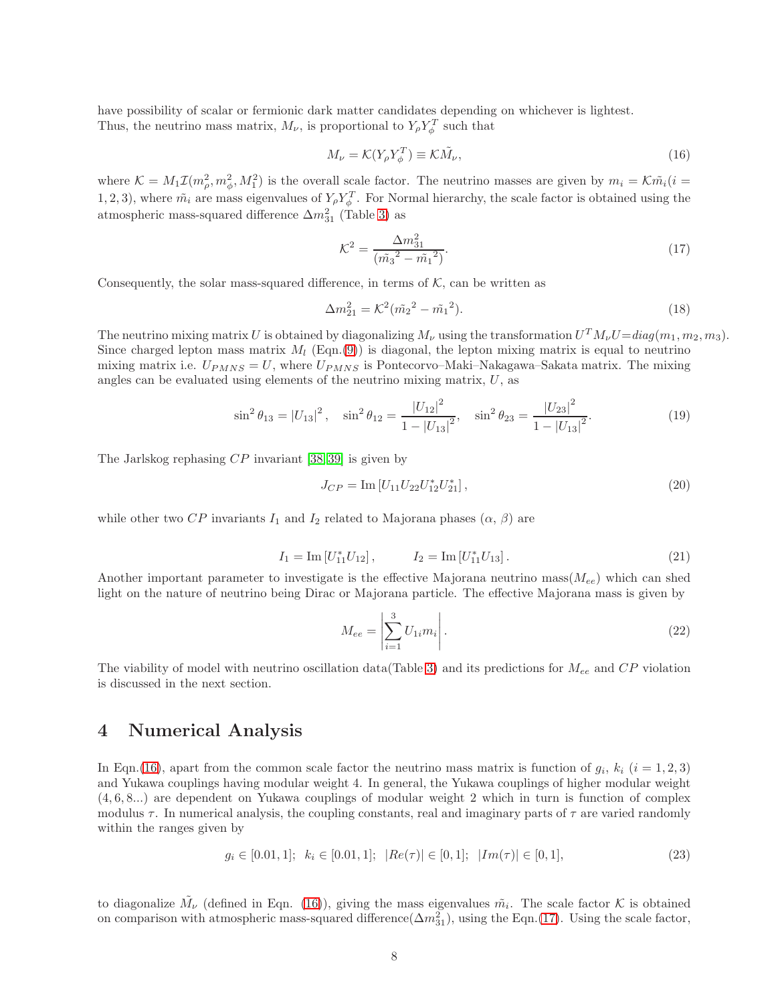have possibility of scalar or fermionic dark matter candidates depending on whichever is lightest. Thus, the neutrino mass matrix,  $M_{\nu}$ , is proportional to  $Y_{\rho} Y_{\phi}^T$  such that

<span id="page-7-0"></span>
$$
M_{\nu} = \mathcal{K}(Y_{\rho} Y_{\phi}^T) \equiv \mathcal{K}\tilde{M}_{\nu},\tag{16}
$$

where  $\mathcal{K} = M_1 \mathcal{I}(m_\rho^2, m_\phi^2, M_1^2)$  is the overall scale factor. The neutrino masses are given by  $m_i = \mathcal{K} \tilde{m}_i (i =$ 1, 2, 3), where  $\tilde{m_i}$  are mass eigenvalues of  $Y_{\rho} Y_{\phi}^T$ . For Normal hierarchy, the scale factor is obtained using the atmospheric mass-squared difference  $\Delta m_{31}^2$  (Table [3\)](#page-8-0) as

<span id="page-7-1"></span>
$$
\mathcal{K}^2 = \frac{\Delta m_{31}^2}{\left(\tilde{m_3}^2 - \tilde{m_1}^2\right)}.\tag{17}
$$

Consequently, the solar mass-squared difference, in terms of  $K$ , can be written as

$$
\Delta m_{21}^2 = \mathcal{K}^2 (\tilde{m}_2^2 - \tilde{m}_1^2). \tag{18}
$$

The neutrino mixing matrix U is obtained by diagonalizing  $M_{\nu}$  using the transformation  $U^T M_{\nu} U = diag(m_1, m_2, m_3)$ . Since charged lepton mass matrix  $M_l$  (Eqn.[\(9\)](#page-5-2)) is diagonal, the lepton mixing matrix is equal to neutrino mixing matrix i.e.  $U_{PMNS} = U$ , where  $U_{PMNS}$  is Pontecorvo–Maki–Nakagawa–Sakata matrix. The mixing angles can be evaluated using elements of the neutrino mixing matrix,  $U$ , as

<span id="page-7-2"></span>
$$
\sin^2 \theta_{13} = |U_{13}|^2, \quad \sin^2 \theta_{12} = \frac{|U_{12}|^2}{1 - |U_{13}|^2}, \quad \sin^2 \theta_{23} = \frac{|U_{23}|^2}{1 - |U_{13}|^2}.
$$
 (19)

The Jarlskog rephasing  $CP$  invariant [\[38,](#page-13-1) [39\]](#page-13-2) is given by

<span id="page-7-3"></span>
$$
J_{CP} = \text{Im} \left[ U_{11} U_{22} U_{12}^* U_{21}^* \right],\tag{20}
$$

while other two CP invariants  $I_1$  and  $I_2$  related to Majorana phases  $(\alpha, \beta)$  are

<span id="page-7-4"></span>
$$
I_1 = \text{Im}[U_{11}^* U_{12}], \qquad I_2 = \text{Im}[U_{11}^* U_{13}]. \qquad (21)
$$

Another important parameter to investigate is the effective Majorana neutrino mass  $(M_{ee})$  which can shed light on the nature of neutrino being Dirac or Majorana particle. The effective Majorana mass is given by

$$
M_{ee} = \left| \sum_{i=1}^{3} U_{1i} m_i \right|.
$$
 (22)

The viability of model with neutrino oscillation data(Table [3\)](#page-8-0) and its predictions for  $M_{ee}$  and  $CP$  violation is discussed in the next section.

## 4 Numerical Analysis

In Eqn.[\(16\)](#page-7-0), apart from the common scale factor the neutrino mass matrix is function of  $g_i$ ,  $k_i$  ( $i = 1, 2, 3$ ) and Yukawa couplings having modular weight 4. In general, the Yukawa couplings of higher modular weight (4, 6, 8...) are dependent on Yukawa couplings of modular weight 2 which in turn is function of complex modulus  $\tau$ . In numerical analysis, the coupling constants, real and imaginary parts of  $\tau$  are varied randomly within the ranges given by

$$
g_i \in [0.01, 1]; \ \ k_i \in [0.01, 1]; \ \ |Re(\tau)| \in [0, 1]; \ \ |Im(\tau)| \in [0, 1], \tag{23}
$$

to diagonalize  $\tilde{M}_{\nu}$  (defined in Eqn. [\(16\)](#page-7-0)), giving the mass eigenvalues  $\tilde{m}_i$ . The scale factor K is obtained on comparison with atmospheric mass-squared difference( $\Delta m_{31}^2$ ), using the Eqn.[\(17\)](#page-7-1). Using the scale factor,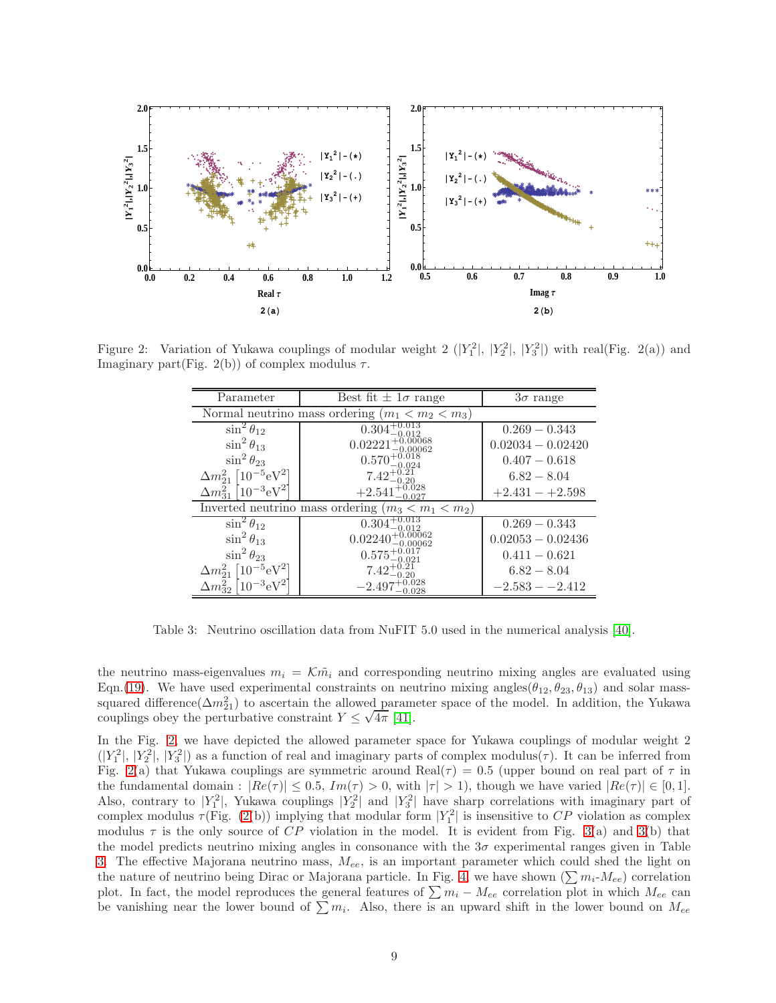<span id="page-8-1"></span>

<span id="page-8-0"></span>Figure 2: Variation of Yukawa couplings of modular weight 2  $(|Y_1^2|, |Y_2^2|, |Y_3^2|)$  with real(Fig. 2(a)) and Imaginary part(Fig. 2(b)) of complex modulus  $\tau$ .

| Parameter                                             | Best fit $\pm 1\sigma$ range   | $3\sigma$ range     |  |  |  |  |  |
|-------------------------------------------------------|--------------------------------|---------------------|--|--|--|--|--|
| Normal neutrino mass ordering $(m_1 < m_2 < m_3)$     |                                |                     |  |  |  |  |  |
| $\sin^2\theta_{12}$                                   | $0.304+$                       | $0.269 - 0.343$     |  |  |  |  |  |
| $\sin^2\theta_{13}$                                   | 0.02221                        | $0.02034 - 0.02420$ |  |  |  |  |  |
| $\sin^2\theta_{23}$                                   | $0.570^{+0.018}_{-0.024}$      | $0.407 - 0.618$     |  |  |  |  |  |
| $\Delta m_{21}^2$   $10^{-5}$ eV <sup>2</sup> ]       | $7.42^{+0.2}_{-0.2}$           | $6.82 - 8.04$       |  |  |  |  |  |
| $\Delta m_{31}^2$ [10 <sup>-3</sup> eV <sup>2</sup> ] | $+2.541^{+0.028}_{-0.027}$     | $+2.431 - +2.598$   |  |  |  |  |  |
| Inverted neutrino mass ordering $(m_3 < m_1 < m_2)$   |                                |                     |  |  |  |  |  |
| $\sin^2\theta_{12}$                                   | $0.304^{+}$                    | $0.269 - 0.343$     |  |  |  |  |  |
| $\sin^2\theta_{13}$                                   | $0.02240^{+0.00062}_{0.00002}$ | $0.02053 - 0.02436$ |  |  |  |  |  |
| $\sin^2 \theta_{23}$                                  | $0.575^{+0.017}_{-0.021}$      | $0.411 - 0.621$     |  |  |  |  |  |
| $\Delta m^2_{21}$ [10 <sup>-5</sup> eV <sup>2</sup> ] |                                | $6.82 - 8.04$       |  |  |  |  |  |
| $\Delta m^2_{32}$<br>$10^{-3} \mathrm{eV}^2$          | $-2.497$                       | $-2.583 - -2.412$   |  |  |  |  |  |

Table 3: Neutrino oscillation data from NuFIT 5.0 used in the numerical analysis [\[40\]](#page-13-3).

the neutrino mass-eigenvalues  $m_i = \mathcal{K}\tilde{m}_i$  and corresponding neutrino mixing angles are evaluated using Eqn.[\(19\)](#page-7-2). We have used experimental constraints on neutrino mixing angles( $\theta_{12}, \theta_{23}, \theta_{13}$ ) and solar masssquared difference( $\Delta m_{21}^2$ ) to ascertain the allowed parameter space of the model. In addition, the Yukawa couplings obey the perturbative constraint  $Y \leq \sqrt{4\pi}$  [\[41\]](#page-13-4).

In the Fig. [2,](#page-8-1) we have depicted the allowed parameter space for Yukawa couplings of modular weight 2  $(|Y_1^2|, |Y_2^2|, |Y_3^2|)$  as a function of real and imaginary parts of complex modulus( $\tau$ ). It can be inferred from Fig. [2\(](#page-8-1)a) that Yukawa couplings are symmetric around Real( $\tau$ ) = 0.5 (upper bound on real part of  $\tau$  in the fundamental domain :  $|Re(\tau)| \le 0.5$ ,  $Im(\tau) > 0$ , with  $|\tau| > 1$ , though we have varied  $|Re(\tau)| \in [0,1]$ . Also, contrary to  $|Y_1|^2$ , Yukawa couplings  $|Y_2|^2$  and  $|Y_3|^2$  have sharp correlations with imaginary part of complex modulus  $\tau$ (Fig. [\(2\(](#page-8-1)b)) implying that modular form  $|Y_1|^2$  is insensitive to CP violation as complex modulus  $\tau$  is the only source of CP violation in the model. It is evident from Fig. [3\(](#page-9-0)a) and 3(b) that the model predicts neutrino mixing angles in consonance with the  $3\sigma$  experimental ranges given in Table [3.](#page-8-0) The effective Majorana neutrino mass,  $M_{ee}$ , is an important parameter which could shed the light on the nature of neutrino being Dirac or Majorana particle. In Fig. [4,](#page-10-6) we have shown  $(\sum m_i-M_{ee})$  correlation plot. In fact, the model reproduces the general features of  $\sum m_i - M_{ee}$  correlation plot in which  $M_{ee}$  can be vanishing near the lower bound of  $\sum m_i$ . Also, there is an upward shift in the lower bound on  $M_{ee}$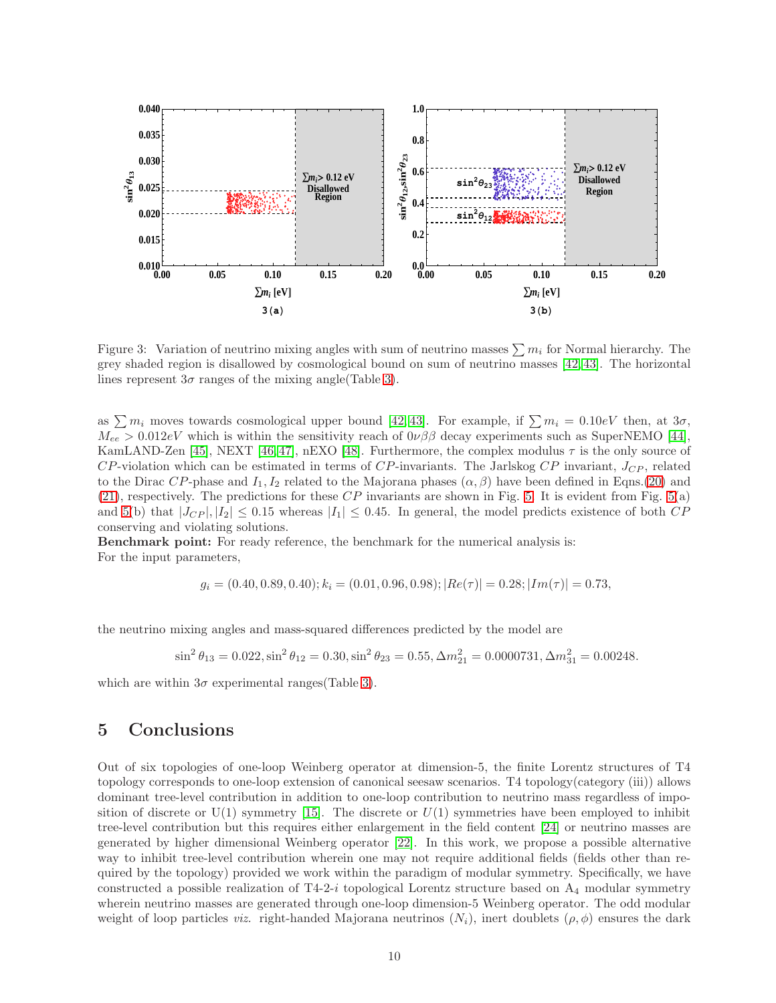<span id="page-9-0"></span>

Figure 3: Variation of neutrino mixing angles with sum of neutrino masses  $\sum m_i$  for Normal hierarchy. The grey shaded region is disallowed by cosmological bound on sum of neutrino masses [\[42,](#page-13-5) [43\]](#page-13-6). The horizontal lines represent  $3\sigma$  ranges of the mixing angle (Table [3\)](#page-8-0).

as  $\sum m_i$  moves towards cosmological upper bound [\[42,](#page-13-5) [43\]](#page-13-6). For example, if  $\sum m_i = 0.10eV$  then, at  $3\sigma$ ,  $M_{ee} > 0.012eV$  which is within the sensitivity reach of  $0\nu\beta\beta$  decay experiments such as SuperNEMO [\[44\]](#page-13-7), KamLAND-Zen [\[45\]](#page-13-8), NEXT [\[46,](#page-13-9) [47\]](#page-13-10), nEXO [\[48\]](#page-13-11). Furthermore, the complex modulus  $\tau$  is the only source of  $CP$ -violation which can be estimated in terms of  $CP$ -invariants. The Jarlskog  $CP$  invariant,  $J_{CP}$ , related to the Dirac CP-phase and  $I_1, I_2$  related to the Majorana phases  $(\alpha, \beta)$  have been defined in Eqns.[\(20\)](#page-7-3) and [\(21\)](#page-7-4), respectively. The predictions for these  $CP$  invariants are shown in Fig. [5.](#page-11-7) It is evident from Fig. [5\(](#page-11-7)a) and [5\(](#page-11-7)b) that  $|J_{CP}|, |I_2| \leq 0.15$  whereas  $|I_1| \leq 0.45$ . In general, the model predicts existence of both  $CP$ conserving and violating solutions.

Benchmark point: For ready reference, the benchmark for the numerical analysis is: For the input parameters,

$$
g_i = (0.40, 0.89, 0.40); k_i = (0.01, 0.96, 0.98); |Re(\tau)| = 0.28; |Im(\tau)| = 0.73,
$$

the neutrino mixing angles and mass-squared differences predicted by the model are

$$
\sin^2 \theta_{13} = 0.022, \sin^2 \theta_{12} = 0.30, \sin^2 \theta_{23} = 0.55, \Delta m_{21}^2 = 0.0000731, \Delta m_{31}^2 = 0.00248.
$$

which are within  $3\sigma$  experimental ranges(Table [3\)](#page-8-0).

# 5 Conclusions

Out of six topologies of one-loop Weinberg operator at dimension-5, the finite Lorentz structures of T4 topology corresponds to one-loop extension of canonical seesaw scenarios. T4 topology(category (iii)) allows dominant tree-level contribution in addition to one-loop contribution to neutrino mass regardless of imposition of discrete or  $U(1)$  symmetry [\[15\]](#page-11-6). The discrete or  $U(1)$  symmetries have been employed to inhibit tree-level contribution but this requires either enlargement in the field content [\[24\]](#page-12-7) or neutrino masses are generated by higher dimensional Weinberg operator [\[22\]](#page-12-5). In this work, we propose a possible alternative way to inhibit tree-level contribution wherein one may not require additional fields (fields other than required by the topology) provided we work within the paradigm of modular symmetry. Specifically, we have constructed a possible realization of  $T_4-2-i$  topological Lorentz structure based on  $A_4$  modular symmetry wherein neutrino masses are generated through one-loop dimension-5 Weinberg operator. The odd modular weight of loop particles *viz.* right-handed Majorana neutrinos  $(N_i)$ , inert doublets  $(\rho, \phi)$  ensures the dark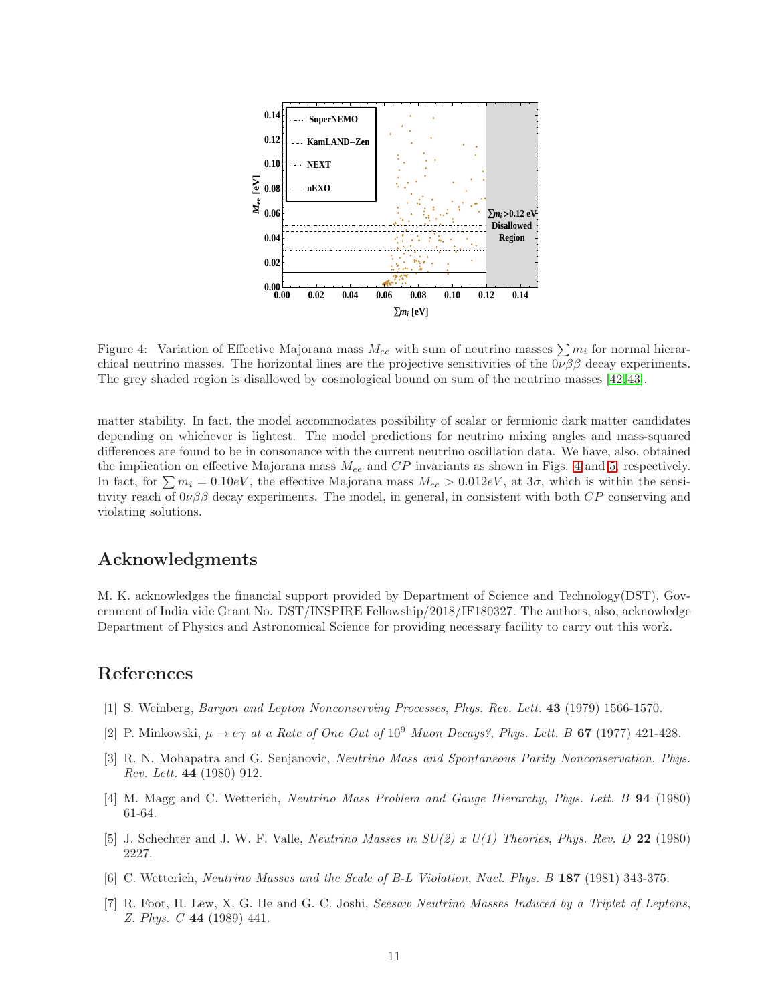<span id="page-10-6"></span>

Figure 4: Variation of Effective Majorana mass  $M_{ee}$  with sum of neutrino masses  $\sum m_i$  for normal hierarchical neutrino masses. The horizontal lines are the projective sensitivities of the  $0\nu\beta\beta$  decay experiments. The grey shaded region is disallowed by cosmological bound on sum of the neutrino masses [\[42,](#page-13-5) [43\]](#page-13-6).

matter stability. In fact, the model accommodates possibility of scalar or fermionic dark matter candidates depending on whichever is lightest. The model predictions for neutrino mixing angles and mass-squared differences are found to be in consonance with the current neutrino oscillation data. We have, also, obtained the implication on effective Majorana mass  $M_{ee}$  and  $CP$  invariants as shown in Figs. [4](#page-10-6) and [5,](#page-11-7) respectively. In fact, for  $\sum m_i = 0.10 \text{eV}$ , the effective Majorana mass  $M_{ee} > 0.012 \text{eV}$ , at  $3\sigma$ , which is within the sensitivity reach of  $0\nu\beta\beta$  decay experiments. The model, in general, in consistent with both  $CP$  conserving and violating solutions.

# Acknowledgments

M. K. acknowledges the financial support provided by Department of Science and Technology(DST), Government of India vide Grant No. DST/INSPIRE Fellowship/2018/IF180327. The authors, also, acknowledge Department of Physics and Astronomical Science for providing necessary facility to carry out this work.

# <span id="page-10-0"></span>References

- <span id="page-10-1"></span>[1] S. Weinberg, Baryon and Lepton Nonconserving Processes, Phys. Rev. Lett. 43 (1979) 1566-1570.
- <span id="page-10-2"></span>[2] P. Minkowski,  $\mu \to e\gamma$  at a Rate of One Out of 10<sup>9</sup> Muon Decays?, Phys. Lett. B 67 (1977) 421-428.
- [3] R. N. Mohapatra and G. Senjanovic, Neutrino Mass and Spontaneous Parity Nonconservation, Phys. Rev. Lett. 44 (1980) 912.
- <span id="page-10-3"></span>[4] M. Magg and C. Wetterich, Neutrino Mass Problem and Gauge Hierarchy, Phys. Lett. B 94 (1980) 61-64.
- <span id="page-10-4"></span>[5] J. Schechter and J. W. F. Valle, *Neutrino Masses in*  $SU(2)$  *x U(1) Theories, Phys. Rev. D* 22 (1980) 2227.
- <span id="page-10-5"></span>[6] C. Wetterich, Neutrino Masses and the Scale of B-L Violation, Nucl. Phys. B 187 (1981) 343-375.
- [7] R. Foot, H. Lew, X. G. He and G. C. Joshi, Seesaw Neutrino Masses Induced by a Triplet of Leptons, Z. Phys. C 44 (1989) 441.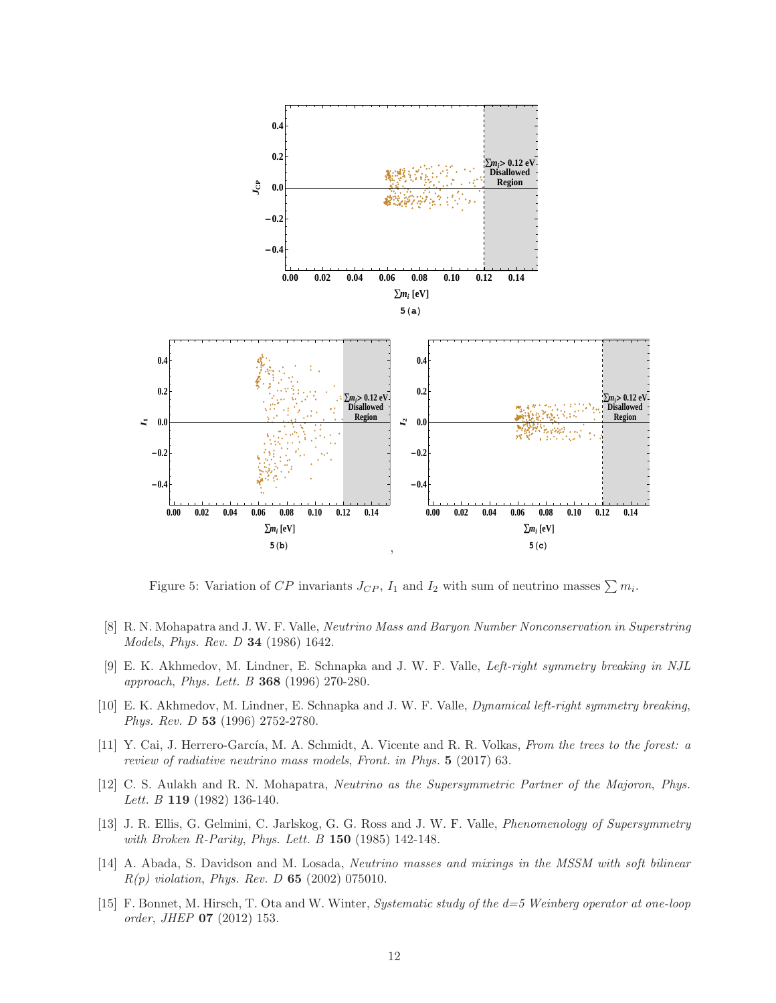<span id="page-11-7"></span>

Figure 5: Variation of CP invariants  $J_{CP}$ ,  $I_1$  and  $I_2$  with sum of neutrino masses  $\sum m_i$ .

- <span id="page-11-0"></span>[8] R. N. Mohapatra and J. W. F. Valle, Neutrino Mass and Baryon Number Nonconservation in Superstring Models, Phys. Rev. D 34 (1986) 1642.
- <span id="page-11-1"></span>[9] E. K. Akhmedov, M. Lindner, E. Schnapka and J. W. F. Valle, Left-right symmetry breaking in NJL approach, Phys. Lett. B 368 (1996) 270-280.
- <span id="page-11-2"></span>[10] E. K. Akhmedov, M. Lindner, E. Schnapka and J. W. F. Valle, Dynamical left-right symmetry breaking, Phys. Rev. D 53 (1996) 2752-2780.
- <span id="page-11-3"></span>[11] Y. Cai, J. Herrero-García, M. A. Schmidt, A. Vicente and R. R. Volkas, From the trees to the forest: a review of radiative neutrino mass models, Front. in Phys. 5 (2017) 63.
- <span id="page-11-4"></span>[12] C. S. Aulakh and R. N. Mohapatra, Neutrino as the Supersymmetric Partner of the Majoron, Phys. Lett. B **119** (1982) 136-140.
- [13] J. R. Ellis, G. Gelmini, C. Jarlskog, G. G. Ross and J. W. F. Valle, Phenomenology of Supersymmetry with Broken R-Parity, Phys. Lett. B 150 (1985) 142-148.
- <span id="page-11-5"></span>[14] A. Abada, S. Davidson and M. Losada, Neutrino masses and mixings in the MSSM with soft bilinear  $R(p)$  violation, Phys. Rev. D 65 (2002) 075010.
- <span id="page-11-6"></span>[15] F. Bonnet, M. Hirsch, T. Ota and W. Winter, Systematic study of the d=5 Weinberg operator at one-loop order, JHEP 07 (2012) 153.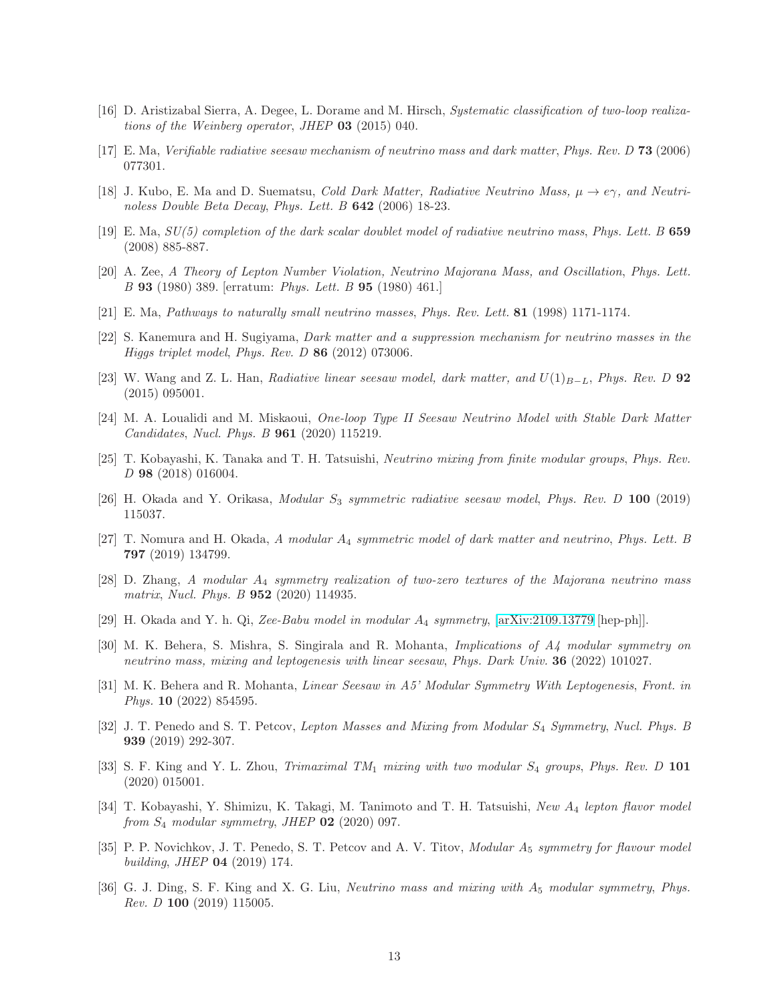- <span id="page-12-1"></span><span id="page-12-0"></span>[16] D. Aristizabal Sierra, A. Degee, L. Dorame and M. Hirsch, Systematic classification of two-loop realizations of the Weinberg operator, JHEP 03 (2015) 040.
- [17] E. Ma, Verifiable radiative seesaw mechanism of neutrino mass and dark matter, Phys. Rev. D 73 (2006) 077301.
- <span id="page-12-2"></span>[18] J. Kubo, E. Ma and D. Suematsu, Cold Dark Matter, Radiative Neutrino Mass,  $\mu \to e\gamma$ , and Neutrinoless Double Beta Decay, Phys. Lett. B 642 (2006) 18-23.
- <span id="page-12-3"></span>[19] E. Ma,  $SU(5)$  completion of the dark scalar doublet model of radiative neutrino mass, Phys. Lett. B 659 (2008) 885-887.
- <span id="page-12-4"></span>[20] A. Zee, A Theory of Lepton Number Violation, Neutrino Majorana Mass, and Oscillation, Phys. Lett. B 93 (1980) 389. [erratum: Phys. Lett. B 95 (1980) 461.]
- <span id="page-12-5"></span>[21] E. Ma, Pathways to naturally small neutrino masses, Phys. Rev. Lett. 81 (1998) 1171-1174.
- <span id="page-12-6"></span>[22] S. Kanemura and H. Sugiyama, Dark matter and a suppression mechanism for neutrino masses in the Higgs triplet model, Phys. Rev. D 86 (2012) 073006.
- [23] W. Wang and Z. L. Han, Radiative linear seesaw model, dark matter, and  $U(1)_{B-L}$ , Phys. Rev. D 92 (2015) 095001.
- <span id="page-12-7"></span>[24] M. A. Loualidi and M. Miskaoui, One-loop Type II Seesaw Neutrino Model with Stable Dark Matter Candidates, Nucl. Phys. B 961 (2020) 115219.
- <span id="page-12-8"></span>[25] T. Kobayashi, K. Tanaka and T. H. Tatsuishi, Neutrino mixing from finite modular groups, Phys. Rev. D 98 (2018) 016004.
- <span id="page-12-10"></span><span id="page-12-9"></span>[26] H. Okada and Y. Orikasa, Modular S<sub>3</sub> symmetric radiative seesaw model, Phys. Rev. D 100 (2019) 115037.
- [27] T. Nomura and H. Okada, A modular A<sub>4</sub> symmetric model of dark matter and neutrino, Phys. Lett. B 797 (2019) 134799.
- $[28]$  D. Zhang, A modular  $A_4$  symmetry realization of two-zero textures of the Majorana neutrino mass matrix, Nucl. Phys. B **952** (2020) 114935.
- [29] H. Okada and Y. h. Qi, Zee-Babu model in modular A<sup>4</sup> symmetry, [\[arXiv:2109.13779](http://arxiv.org/abs/2109.13779) [hep-ph]].
- [30] M. K. Behera, S. Mishra, S. Singirala and R. Mohanta, Implications of A4 modular symmetry on neutrino mass, mixing and leptogenesis with linear seesaw, Phys. Dark Univ. 36 (2022) 101027.
- <span id="page-12-11"></span>[31] M. K. Behera and R. Mohanta, Linear Seesaw in A5' Modular Symmetry With Leptogenesis, Front. in Phys. 10 (2022) 854595.
- <span id="page-12-12"></span>[32] J. T. Penedo and S. T. Petcov, Lepton Masses and Mixing from Modular S4 Symmetry, Nucl. Phys. B 939 (2019) 292-307.
- [33] S. F. King and Y. L. Zhou, Trimaximal  $TM_1$  mixing with two modular  $S_4$  groups, Phys. Rev. D 101 (2020) 015001.
- <span id="page-12-13"></span>[34] T. Kobayashi, Y. Shimizu, K. Takagi, M. Tanimoto and T. H. Tatsuishi, New A<sub>4</sub> lepton flavor model from  $S_4$  modular symmetry, JHEP  $\overline{02}$  (2020) 097.
- <span id="page-12-14"></span>[35] P. P. Novichkov, J. T. Penedo, S. T. Petcov and A. V. Titov, Modular A<sub>5</sub> symmetry for flavour model building, JHEP 04 (2019) 174.
- <span id="page-12-15"></span>[36] G. J. Ding, S. F. King and X. G. Liu, *Neutrino mass and mixing with*  $A_5$  modular symmetry, Phys. Rev. D 100 (2019) 115005.